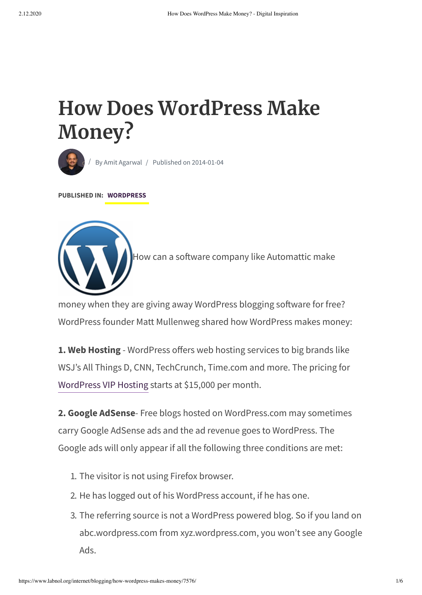# **How Does WordPress Make Money?**



By Amit [Agarwal](https://www.labnol.org/about) / Published on 2014-01-04

**PUBLISHED IN: [WORDPRESS](https://www.labnol.org/topic/word-press/)**



How can a software company like Automattic make

money when they are giving away WordPress blogging software for free? WordPress founder Matt Mullenweg shared how WordPress makes money:

**1. Web Hosting** - WordPress offers web hosting services to big brands like WSJ's All Things D, CNN, TechCrunch, Time.com and more. The pricing for [WordPress](http://vip.wordpress.com/) VIP Hosting starts at \$15,000 per month.

**2. Google AdSense**- Free blogs hosted on WordPress.com may sometimes carry Google AdSense ads and the ad revenue goes to WordPress. The Google ads will only appear if all the following three conditions are met:

- 1. The visitor is not using Firefox browser.
- 2. He has logged out of his WordPress account, if he has one.
- 3. The referring source is not a WordPress powered blog. So if you land on abc.wordpress.com from xyz.wordpress.com, you won't see any Google Ads.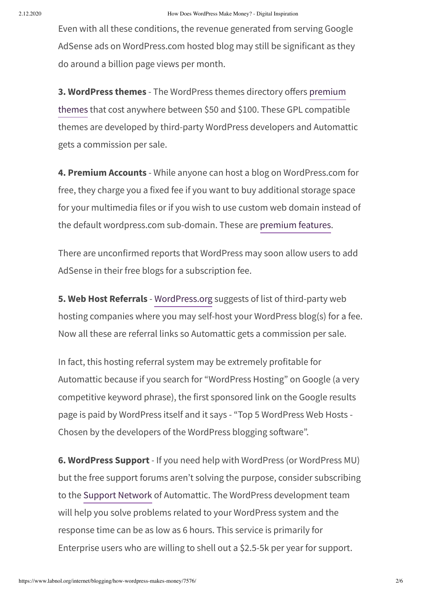Even with all these conditions, the revenue generated from serving Google AdSense ads on WordPress.com hosted blog may still be significant as they do around a billion page views per month.

**3. WordPress themes** - The WordPress themes directory offers premium themes [that cost anywhere](http://theme.wordpress.com/themes/sort/premium/) between \$50 and \$100. These GPL compatible themes are developed by third-party WordPress developers and Automattic gets a commission per sale.

**4. Premium Accounts** - While anyone can host a blog on WordPress.com for free, they charge you a fixed fee if you want to buy additional storage space for your multimedia files or if you wish to use custom web domain instead of the default wordpress.com sub-domain. These are [premium](http://en.wordpress.com/products/) features.

There are unconfirmed reports that WordPress may soon allow users to add AdSense in their free blogs for a subscription fee.

**5. Web Host Referrals** - [WordPress.org](http://wordpress.org/hosting/) suggests of list of third-party web hosting companies where you may self-host your WordPress blog(s) for a fee. Now all these are referral links so Automattic gets a commission per sale.

In fact, this hosting referral system may be extremely profitable for Automattic because if you search for "WordPress Hosting" on Google (a very competitive keyword phrase), the first sponsored link on the Google results page is paid by WordPress itself and it says - "Top 5 WordPress Web Hosts - Chosen by the developers of the WordPress blogging software".

**6. WordPress Support** - If you need help with WordPress (or WordPress MU) but the free support forums aren't solving the purpose, consider subscribing to the [Support Network](http://automattic.com/services/support-network/) of Automattic. The WordPress development team will help you solve problems related to your WordPress system and the response time can be as low as 6 hours. This service is primarily for Enterprise users who are willing to shell out a \$2.5-5k per year for support.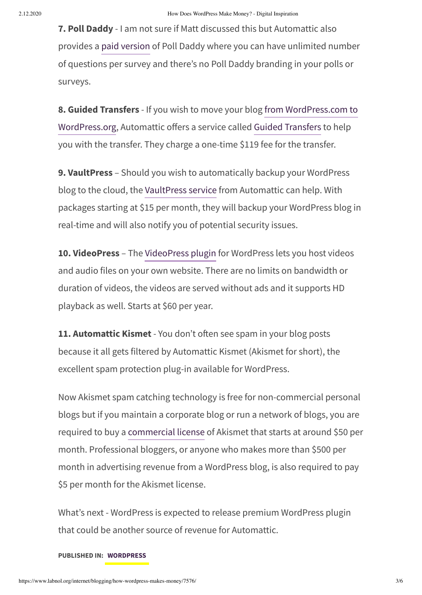**7. Poll Daddy** - I am not sure if Matt discussed this but Automattic also provides a paid [version](http://polldaddy.com/signup/) of Poll Daddy where you can have unlimited number of questions per survey and there's no Poll Daddy branding in your polls or surveys.

**8. Guided Transfers** - If you wish to move your blog from [WordPress.com](https://www.labnol.org/internet/move-to-wordpress-org/18850/) to WordPress.org, Automattic offers a service called Guided [Transfers](http://en.support.wordpress.com/guided-transfer/) to help you with the transfer. They charge a one-time \$119 fee for the transfer.

**9. VaultPress** – Should you wish to automatically backup your WordPress blog to the cloud, the [VaultPress](http://vaultpress.com/) service from Automattic can help. With packages starting at \$15 per month, they will backup your WordPress blog in real-time and will also notify you of potential security issues.

**10. VideoPress** – The [VideoPress](http://videopress.com/) plugin for WordPress lets you host videos and audio files on your own website. There are no limits on bandwidth or duration of videos, the videos are served without ads and it supports HD playback as well. Starts at \$60 per year.

**11. Automattic Kismet** - You don't often see spam in your blog posts because it all gets filtered by Automattic Kismet (Akismet for short), the excellent spam protection plug-in available for WordPress.

Now Akismet spam catching technology is free for non-commercial personal blogs but if you maintain a corporate blog or run a network of blogs, you are required to buy a [commercial](https://akismet.com/signup/) license of Akismet that starts at around \$50 per month. Professional bloggers, or anyone who makes more than \$500 per month in advertising revenue from a WordPress blog, is also required to pay \$5 per month for the Akismet license.

What's next - WordPress is expected to release premium WordPress plugin that could be another source of revenue for Automattic.

#### **PUBLISHED IN: [WORDPRESS](https://www.labnol.org/topic/word-press/)**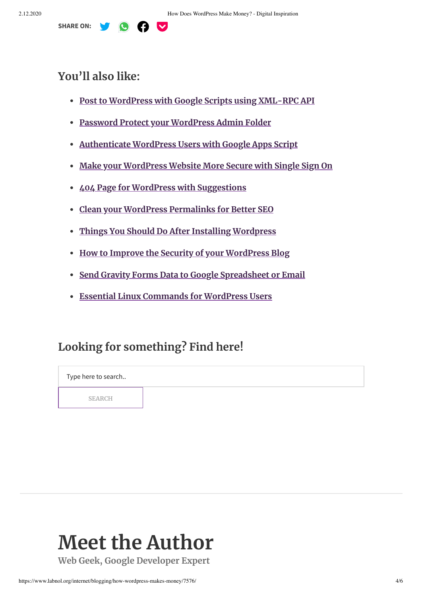

#### **You'll also like:**

- **Post to WordPress with [Google Scripts](https://www.labnol.org/code/19520-podcast-xml-feed) using XML-RPC API**
- **[Password Protect](https://www.labnol.org/code/20047-gravity-forms-to-google-spreadsheet) your WordPress Admin Folder**
- **[Authenticate WordPress](https://www.labnol.org/internet/track-404-error-pages/13509/) Users with Google Apps Script**
- **Make your WordPress [Website More Secure with](https://www.labnol.org/internet/blogging/writing-successful-blog/1896/) Single Sign On**
- **404 Page for WordPress with [Suggestions](https://www.labnol.org/code/19964-xml-rpc-google-apps-script)**
- **Clean your WordPress [Permalinks](https://www.labnol.org/code/19956-blogger-wordpress-redirection) for Better SEO**
- **Things You Should Do After Installing [Wordpress](https://www.labnol.org/internet/mailto-contact-forms/27999/)**
- **How to [Improve the Security](https://www.labnol.org/internet/block-google-with-robots-txt/28861/) of your WordPress Blog**
- **Send Gravity Forms Data to [Google Spreadsheet](https://www.labnol.org/internet/wordpress-login-without-password/28878/) or Email**
- **Essential Linux [Commands](https://www.labnol.org/code/19934-404-page-for-wordpress) for WordPress Users**

### **Looking for something? Find here!**

Type here to search.. **SEARCH**

# **Meet the Author**

**Web Geek, Google Developer Expert**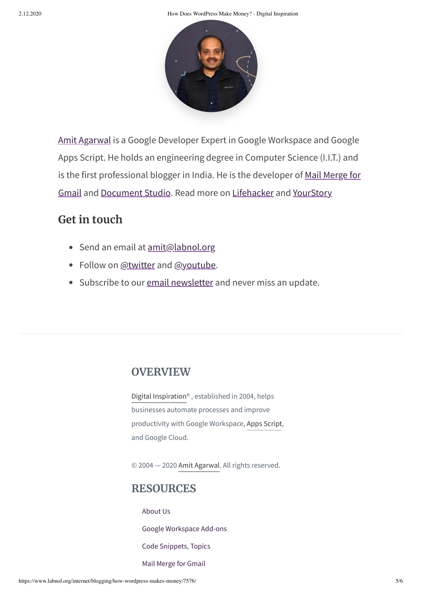2.12.2020 How Does WordPress Make Money? - Digital Inspiration



[Amit Agarwal](https://www.labnol.org/about) is a Google Developer Expert in Google Workspace and Google Apps Script. He holds an engineering degree in Computer Science (I.I.T.) and is the first professional blogger in India. He is the developer of Mail Merge for Gmail and [Document Studio.](https://gsuite.google.com/marketplace/app/mail_merge_with_attachments/223404411203) Read more on [Lifehacker](https://lifehacker.com/im-amit-agarwal-and-this-is-how-i-work-1506511234) and [YourStory](https://yourstory.com/2015/07/techie-tuesdays-amit-agarwal-labnol/)

## **Get in touch**

- Send an email at **[amit@labnol.org](mailto:amit@labnol.org)**
- Follow on [@twitter](https://twitter.com/labnol) and [@youtube](https://youtube.com/labnol).
- Subscribe to our email [newsletter](https://us1.list-manage.com/subscribe?u=f52af1b2d34e161675d992e00&id=f0282b6662) and never miss an update.

### **OVERVIEW**

Digital [Inspiration](https://digitalinspiration.com/)® , established in 2004, helps businesses automate processes and improve productivity with Google Workspace, Apps [Script,](https://www.labnol.org/topic/google-apps-script/) and Google Cloud.

© 2004 — 2020 Amit [Agarwal.](https://www.labnol.org/about) All rights reserved.

### **RESOURCES**

[About](https://www.labnol.org/about) Us

Google [Workspace](https://digitalinspiration.com/) Add-ons

Code [Snippets](https://www.labnol.org/category/code), [Topics](https://www.labnol.org/topics/)

Mail [Merge](https://digitalinspiration.com/docs/mail-merge) for Gmail